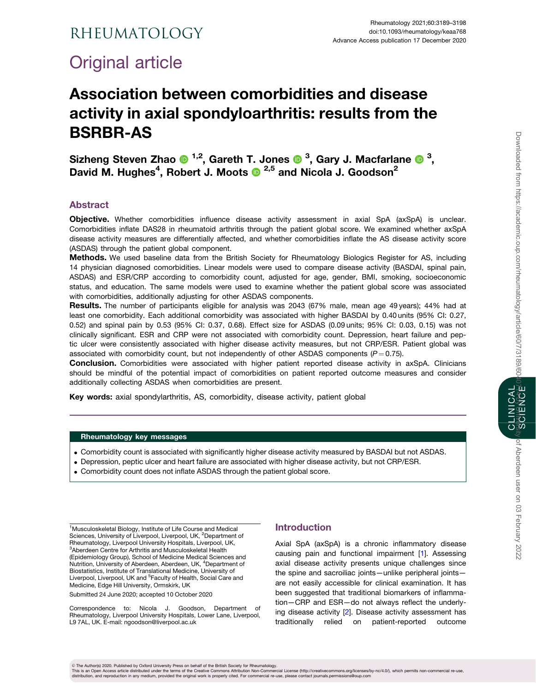# <span id="page-0-0"></span>Rheumatology

# Original article

# Association between comorbidities and disease activity in axial spondyloarthritis: results from the BSRBR-AS

Sizheng Steven Zhao  $\mathbf{0}^{1,2}$ , Gareth T. Jones  $\mathbf{0}^{3}$ , Gary J. Macfarlane  $\mathbf{0}^{3}$ , David M. Hughes<sup>4</sup>, Robert J. Moots <sup>1,5</sup> and Nicola J. Goodson<sup>2</sup>

# Abstract

Objective. Whether comorbidities influence disease activity assessment in axial SpA (axSpA) is unclear. Comorbidities inflate DAS28 in rheumatoid arthritis through the patient global score. We examined whether axSpA disease activity measures are differentially affected, and whether comorbidities inflate the AS disease activity score (ASDAS) through the patient global component.

Methods. We used baseline data from the British Society for Rheumatology Biologics Register for AS, including 14 physician diagnosed comorbidities. Linear models were used to compare disease activity (BASDAI, spinal pain, ASDAS) and ESR/CRP according to comorbidity count, adjusted for age, gender, BMI, smoking, socioeconomic status, and education. The same models were used to examine whether the patient global score was associated with comorbidities, additionally adjusting for other ASDAS components.

Results. The number of participants eligible for analysis was 2043 (67% male, mean age 49 years); 44% had at least one comorbidity. Each additional comorbidity was associated with higher BASDAI by 0.40 units (95% CI: 0.27, 0.52) and spinal pain by 0.53 (95% CI: 0.37, 0.68). Effect size for ASDAS (0.09 units; 95% CI: 0.03, 0.15) was not clinically significant. ESR and CRP were not associated with comorbidity count. Depression, heart failure and peptic ulcer were consistently associated with higher disease activity measures, but not CRP/ESR. Patient global was associated with comorbidity count, but not independently of other ASDAS components ( $P = 0.75$ ).

Conclusion. Comorbidities were associated with higher patient reported disease activity in axSpA. Clinicians should be mindful of the potential impact of comorbidities on patient reported outcome measures and consider additionally collecting ASDAS when comorbidities are present.

Key words: axial spondylarthritis, AS, comorbidity, disease activity, patient global

#### Rheumatology key messages

- . Comorbidity count is associated with significantly higher disease activity measured by BASDAI but not ASDAS.
- . Depression, peptic ulcer and heart failure are associated with higher disease activity, but not CRP/ESR.
- . Comorbidity count does not inflate ASDAS through the patient global score.

<sup>1</sup>Musculoskeletal Biology, Institute of Life Course and Medical Sciences, University of Liverpool, Liverpool, UK, <sup>2</sup>Department of Rheumatology, Liverpool University Hospitals, Liverpool, UK, 3 Aberdeen Centre for Arthritis and Musculoskeletal Health (Epidemiology Group), School of Medicine Medical Sciences and Nutrition, University of Aberdeen, Aberdeen, UK, <sup>4</sup>Department of Biostatistics, Institute of Translational Medicine, University of Liverpool, Liverpool, UK and <sup>5</sup>Faculty of Health, Social Care and Medicine, Edge Hill University, Ormskirk, UK

Submitted 24 June 2020; accepted 10 October 2020

Correspondence to: Nicola J. Goodson, Department of Rheumatology, Liverpool University Hospitals, Lower Lane, Liverpool, L9 7AL, UK. E-mail: ngoodson@liverpool.ac.uk

### Introduction

Axial SpA (axSpA) is a chronic inflammatory disease causing pain and functional impairment [\[1](#page-8-0)]. Assessing axial disease activity presents unique challenges since the spine and sacroiliac joints—unlike peripheral joints are not easily accessible for clinical examination. It has been suggested that traditional biomarkers of inflammation—CRP and ESR—do not always reflect the underlying disease activity [\[2](#page-8-0)]. Disease activity assessment has traditionally relied on patient-reported outcome

CLINICAL

© The Author(s) 2020. Published by Oxford University Press on behalf of the British Society for Rheumatology.<br>This is an Open Access article distributed under the therms of the Creative Commons Attribution Non-Commore (ht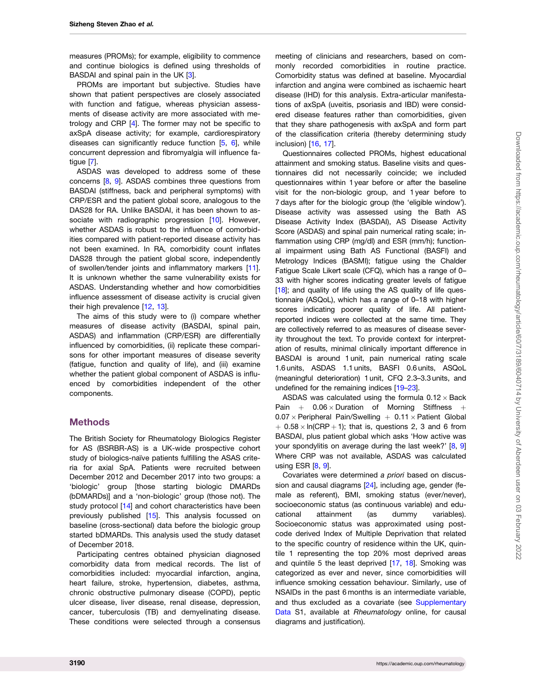<span id="page-1-0"></span>measures (PROMs); for example, eligibility to commence and continue biologics is defined using thresholds of BASDAI and spinal pain in the UK [\[3\]](#page-8-0).

PROMs are important but subjective. Studies have shown that patient perspectives are closely associated with function and fatigue, whereas physician assessments of disease activity are more associated with metrology and CRP [\[4\]](#page-8-0). The former may not be specific to axSpA disease activity; for example, cardiorespiratory diseases can significantly reduce function [[5](#page-8-0), [6](#page-8-0)], while concurrent depression and fibromyalgia will influence fatigue [\[7\]](#page-8-0).

ASDAS was developed to address some of these concerns [\[8](#page-8-0), [9\]](#page-8-0). ASDAS combines three questions from BASDAI (stiffness, back and peripheral symptoms) with CRP/ESR and the patient global score, analogous to the DAS28 for RA. Unlike BASDAI, it has been shown to as-sociate with radiographic progression [[10\]](#page-8-0). However, whether ASDAS is robust to the influence of comorbidities compared with patient-reported disease activity has not been examined. In RA, comorbidity count inflates DAS28 through the patient global score, independently of swollen/tender joints and inflammatory markers [[11](#page-8-0)]. It is unknown whether the same vulnerability exists for ASDAS. Understanding whether and how comorbidities influence assessment of disease activity is crucial given their high prevalence [[12,](#page-8-0) [13\]](#page-8-0).

The aims of this study were to (i) compare whether measures of disease activity (BASDAI, spinal pain, ASDAS) and inflammation (CRP/ESR) are differentially influenced by comorbidities, (ii) replicate these comparisons for other important measures of disease severity (fatigue, function and quality of life), and (iii) examine whether the patient global component of ASDAS is influenced by comorbidities independent of the other components.

#### **Methods**

The British Society for Rheumatology Biologics Register for AS (BSRBR-AS) is a UK-wide prospective cohort study of biologics-naïve patients fulfilling the ASAS criteria for axial SpA. Patients were recruited between December 2012 and December 2017 into two groups: a 'biologic' group [those starting biologic DMARDs (bDMARDs)] and a 'non-biologic' group (those not). The study protocol [[14](#page-8-0)] and cohort characteristics have been previously published [\[15\]](#page-8-0). This analysis focussed on baseline (cross-sectional) data before the biologic group started bDMARDs. This analysis used the study dataset of December 2018.

Participating centres obtained physician diagnosed comorbidity data from medical records. The list of comorbidities included: myocardial infarction, angina, heart failure, stroke, hypertension, diabetes, asthma, chronic obstructive pulmonary disease (COPD), peptic ulcer disease, liver disease, renal disease, depression, cancer, tuberculosis (TB) and demyelinating disease. These conditions were selected through a consensus meeting of clinicians and researchers, based on commonly recorded comorbidities in routine practice. Comorbidity status was defined at baseline. Myocardial infarction and angina were combined as ischaemic heart disease (IHD) for this analysis. Extra-articular manifestations of axSpA (uveitis, psoriasis and IBD) were considered disease features rather than comorbidities, given that they share pathogenesis with axSpA and form part of the classification criteria (thereby determining study inclusion) [\[16,](#page-9-0) [17](#page-9-0)].

Questionnaires collected PROMs, highest educational attainment and smoking status. Baseline visits and questionnaires did not necessarily coincide; we included questionnaires within 1 year before or after the baseline visit for the non-biologic group, and 1 year before to 7 days after for the biologic group (the 'eligible window'). Disease activity was assessed using the Bath AS Disease Activity Index (BASDAI), AS Disease Activity Score (ASDAS) and spinal pain numerical rating scale; inflammation using CRP (mg/dl) and ESR (mm/h); functional impairment using Bath AS Functional (BASFI) and Metrology Indices (BASMI); fatigue using the Chalder Fatigue Scale Likert scale (CFQ), which has a range of 0– 33 with higher scores indicating greater levels of fatigue [[18](#page-9-0)]; and quality of life using the AS quality of life questionnaire (ASQoL), which has a range of 0–18 with higher scores indicating poorer quality of life. All patientreported indices were collected at the same time. They are collectively referred to as measures of disease severity throughout the text. To provide context for interpretation of results, minimal clinically important difference in BASDAI is around 1 unit, pain numerical rating scale 1.6 units, ASDAS 1.1 units, BASFI 0.6 units, ASQoL (meaningful deterioration) 1 unit, CFQ 2.3–3.3 units, and undefined for the remaining indices [[19–23](#page-9-0)].

ASDAS was calculated using the formula  $0.12 \times$  Back Pain  $+$  0.06  $\times$  Duration of Morning Stiffness  $+$  $0.07 \times$  Peripheral Pain/Swelling  $+$  0.11  $\times$  Patient Global  $+$  0.58  $\times$  ln(CRP  $+$  1); that is, questions 2, 3 and 6 from BASDAI, plus patient global which asks 'How active was your spondylitis on average during the last week?' [[8](#page-8-0), [9\]](#page-8-0) Where CRP was not available, ASDAS was calculated using ESR [\[8](#page-8-0), [9](#page-8-0)].

Covariates were determined a priori based on discussion and causal diagrams [[24](#page-9-0)], including age, gender (female as referent), BMI, smoking status (ever/never), socioeconomic status (as continuous variable) and educational attainment (as dummy variables). Socioeconomic status was approximated using postcode derived Index of Multiple Deprivation that related to the specific country of residence within the UK, quintile 1 representing the top 20% most deprived areas and quintile 5 the least deprived [[17](#page-9-0), [18](#page-9-0)]. Smoking was categorized as ever and never, since comorbidities will influence smoking cessation behaviour. Similarly, use of NSAIDs in the past 6 months is an intermediate variable, and thus excluded as a covariate (see [Supplementary](https://academic.oup.com/rheumatology/article-lookup/doi/10.1093/rheumatology/keaa768#supplementary-data) [Data](https://academic.oup.com/rheumatology/article-lookup/doi/10.1093/rheumatology/keaa768#supplementary-data) S1, available at Rheumatology online, for causal diagrams and justification).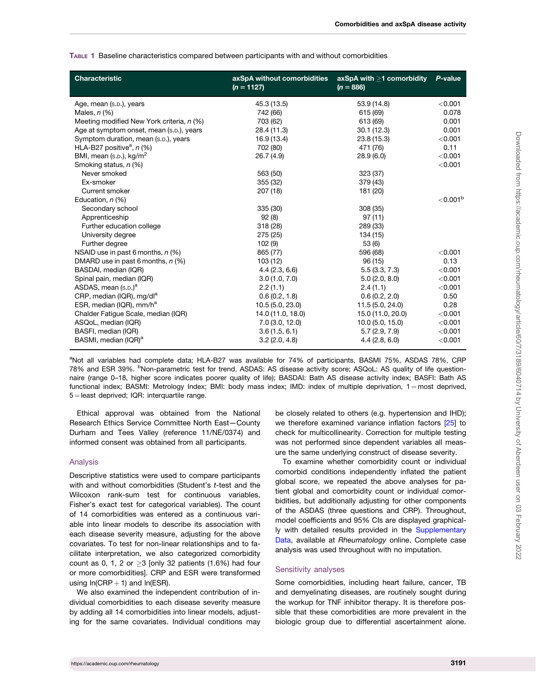<span id="page-2-0"></span>

| TABLE 1 Baseline characteristics compared between participants with and without comorbidities |
|-----------------------------------------------------------------------------------------------|
|-----------------------------------------------------------------------------------------------|

| <b>Characteristic</b>                     | axSpA without comorbidities<br>$(n = 1127)$ | $axSpA with >1$ comorbidity<br>$(n = 886)$ | P-value                 |
|-------------------------------------------|---------------------------------------------|--------------------------------------------|-------------------------|
| Age, mean (s.p.), years                   | 45.3 (13.5)                                 | 53.9 (14.8)                                | < 0.001                 |
| Males, $n$ $(\%)$                         | 742 (66)                                    | 615 (69)                                   | 0.078                   |
| Meeting modified New York criteria, n (%) | 703 (62)                                    | 613 (69)                                   | 0.001                   |
| Age at symptom onset, mean (s.p.), years  | 28.4 (11.3)                                 | 30.1(12.3)                                 | 0.001                   |
| Symptom duration, mean (s.p.), years      | 16.9 (13.4)                                 | 23.8(15.3)                                 | < 0.001                 |
| HLA-B27 positive <sup>a</sup> , $n$ (%)   | 702 (80)                                    | 471 (76)                                   | 0.11                    |
| BMI, mean (s.p.), kg/m <sup>2</sup>       | 26.7(4.9)                                   | 28.9(6.0)                                  | < 0.001                 |
| Smoking status, n (%)                     |                                             |                                            | < 0.001                 |
| Never smoked                              | 563 (50)                                    | 323 (37)                                   |                         |
| Ex-smoker                                 | 355 (32)                                    | 379 (43)                                   |                         |
| Current smoker                            | 207 (18)                                    | 181 (20)                                   |                         |
| Education, n (%)                          |                                             |                                            | ${<}0.001$ <sup>b</sup> |
| Secondary school                          | 335 (30)                                    | 308 (35)                                   |                         |
| Apprenticeship                            | 92(8)                                       | 97(11)                                     |                         |
| Further education college                 | 318 (28)                                    | 289 (33)                                   |                         |
| University degree                         | 275 (25)                                    | 134 (15)                                   |                         |
| Further degree                            | 102(9)                                      | 53 (6)                                     |                         |
| NSAID use in past 6 months, n (%)         | 865 (77)                                    | 596 (68)                                   | < 0.001                 |
| DMARD use in past 6 months, $n$ (%)       | 103(12)                                     | 96(15)                                     | 0.13                    |
| BASDAI, median (IQR)                      | 4.4(2.3, 6.6)                               | 5.5(3.3, 7.3)                              | < 0.001                 |
| Spinal pain, median (IQR)                 | 3.0(1.0, 7.0)                               | 5.0(2.0, 8.0)                              | < 0.001                 |
| ASDAS, mean (s.p.) <sup>a</sup>           | 2.2(1.1)                                    | 2.4(1.1)                                   | < 0.001                 |
| CRP, median (IQR), mg/dl <sup>a</sup>     | 0.6(0.2, 1.8)                               | 0.6(0.2, 2.0)                              | 0.50                    |
| ESR, median (IQR), mm/h <sup>a</sup>      | 10.5 (5.0, 23.0)                            | 11.5 (5.0, 24.0)                           | 0.28                    |
| Chalder Fatique Scale, median (IQR)       | 14.0 (11.0, 18.0)                           | 15.0 (11.0, 20.0)                          | < 0.001                 |
| ASQoL, median (IQR)                       | 7.0(3.0, 12.0)                              | 10.0(5.0, 15.0)                            | < 0.001                 |
| BASFI, median (IQR)                       | 3.6(1.5, 6.1)                               | 5.7(2.9, 7.9)                              | < 0.001                 |
| BASMI, median (IQR) <sup>a</sup>          | 3.2(2.0, 4.8)                               | 4.4(2.8, 6.0)                              | < 0.001                 |

<sup>a</sup>Not all variables had complete data; HLA-B27 was available for 74% of participants, BASMI 75%, ASDAS 78%, CRP 78% and ESR 39%. <sup>b</sup>Non-parametric test for trend. ASDAS: AS disease activity score; ASQoL: AS quality of life questionnaire (range 0–18, higher score indicates poorer quality of life); BASDAI: Bath AS disease activity index; BASFI: Bath AS functional index; BASMI: Metrology Index; BMI: body mass index; IMD: index of multiple deprivation,  $1 = \text{most}$  deprived,  $5 =$  least deprived; IQR: interquartile range.

Ethical approval was obtained from the National Research Ethics Service Committee North East—County Durham and Tees Valley (reference 11/NE/0374) and informed consent was obtained from all participants.

#### Analysis

Descriptive statistics were used to compare participants with and without comorbidities (Student's t-test and the Wilcoxon rank-sum test for continuous variables, Fisher's exact test for categorical variables). The count of 14 comorbidities was entered as a continuous variable into linear models to describe its association with each disease severity measure, adjusting for the above covariates. To test for non-linear relationships and to facilitate interpretation, we also categorized comorbidity count as 0, 1, 2 or  $\geq$ 3 [only 32 patients (1.6%) had four or more comorbidities]. CRP and ESR were transformed using  $ln(CRP + 1)$  and  $ln(ESR)$ .

We also examined the independent contribution of individual comorbidities to each disease severity measure by adding all 14 comorbidities into linear models, adjusting for the same covariates. Individual conditions may be closely related to others (e.g. hypertension and IHD); we therefore examined variance inflation factors [[25](#page-9-0)] to check for multicollinearity. Correction for multiple testing was not performed since dependent variables all measure the same underlying construct of disease severity.

To examine whether comorbidity count or individual comorbid conditions independently inflated the patient global score, we repeated the above analyses for patient global and comorbidity count or individual comorbidities, but additionally adjusting for other components of the ASDAS (three questions and CRP). Throughout, model coefficients and 95% CIs are displayed graphical-ly with detailed results provided in the [Supplementary](https://academic.oup.com/rheumatology/article-lookup/doi/10.1093/rheumatology/keaa768#supplementary-data) [Data,](https://academic.oup.com/rheumatology/article-lookup/doi/10.1093/rheumatology/keaa768#supplementary-data) available at Rheumatology online. Complete case analysis was used throughout with no imputation.

#### Sensitivity analyses

Some comorbidities, including heart failure, cancer, TB and demyelinating diseases, are routinely sought during the workup for TNF inhibitor therapy. It is therefore possible that these comorbidities are more prevalent in the biologic group due to differential ascertainment alone.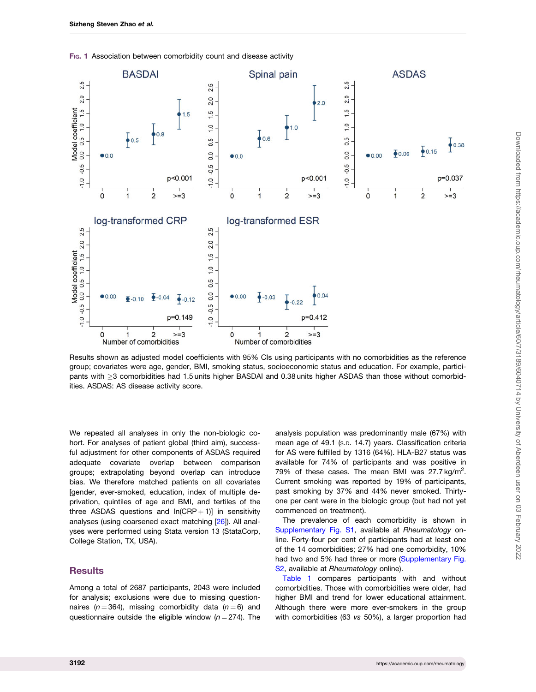

<span id="page-3-0"></span>FIG. 1 Association between comorbidity count and disease activity

Results shown as adjusted model coefficients with 95% CIs using participants with no comorbidities as the reference group; covariates were age, gender, BMI, smoking status, socioeconomic status and education. For example, participants with  $\geq$ 3 comorbidities had 1.5 units higher BASDAI and 0.38 units higher ASDAS than those without comorbidities. ASDAS: AS disease activity score.

We repeated all analyses in only the non-biologic cohort. For analyses of patient global (third aim), successful adjustment for other components of ASDAS required adequate covariate overlap between comparison groups; extrapolating beyond overlap can introduce bias. We therefore matched patients on all covariates [gender, ever-smoked, education, index of multiple deprivation, quintiles of age and BMI, and tertiles of the three ASDAS questions and  $ln(CRP + 1)$ ] in sensitivity analyses (using coarsened exact matching [[26\]](#page-9-0)). All analyses were performed using Stata version 13 (StataCorp, College Station, TX, USA).

#### **Results**

Among a total of 2687 participants, 2043 were included for analysis; exclusions were due to missing questionnaires ( $n = 364$ ), missing comorbidity data ( $n = 6$ ) and questionnaire outside the eligible window  $(n = 274)$ . The analysis population was predominantly male (67%) with mean age of 49.1 (s.p. 14.7) years. Classification criteria for AS were fulfilled by 1316 (64%). HLA-B27 status was available for 74% of participants and was positive in 79% of these cases. The mean BMI was  $27.7 \text{ kg/m}^2$ . Current smoking was reported by 19% of participants, past smoking by 37% and 44% never smoked. Thirtyone per cent were in the biologic group (but had not yet commenced on treatment).

The prevalence of each comorbidity is shown in [Supplementary Fig. S1](https://academic.oup.com/rheumatology/article-lookup/doi/10.1093/rheumatology/keaa768#supplementary-data), available at Rheumatology online. Forty-four per cent of participants had at least one of the 14 comorbidities; 27% had one comorbidity, 10% had two and 5% had three or more [\(Supplementary Fig.](https://academic.oup.com/rheumatology/article-lookup/doi/10.1093/rheumatology/keaa768#supplementary-data) [S2,](https://academic.oup.com/rheumatology/article-lookup/doi/10.1093/rheumatology/keaa768#supplementary-data) available at Rheumatology online).

[Table 1](#page-2-0) compares participants with and without comorbidities. Those with comorbidities were older, had higher BMI and trend for lower educational attainment. Although there were more ever-smokers in the group with comorbidities (63 vs 50%), a larger proportion had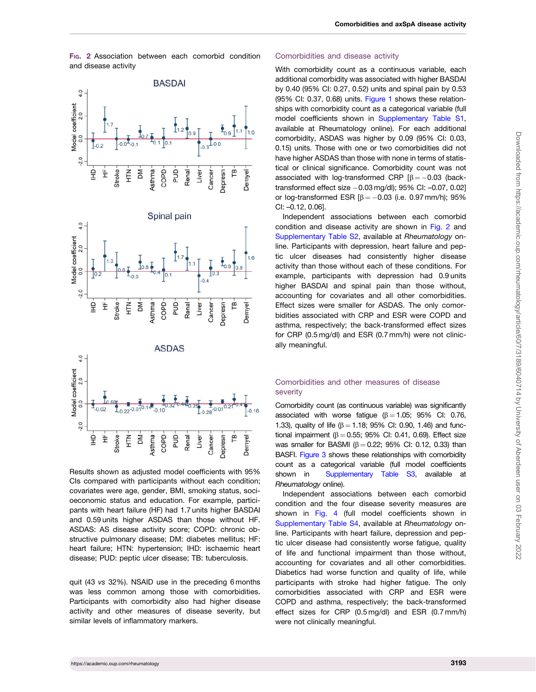FIG. 2 Association between each comorbid condition and disease activity







Results shown as adjusted model coefficients with 95% CIs compared with participants without each condition; covariates were age, gender, BMI, smoking status, socioeconomic status and education. For example, participants with heart failure (HF) had 1.7 units higher BASDAI and 0.59 units higher ASDAS than those without HF. ASDAS: AS disease activity score; COPD: chronic obstructive pulmonary disease; DM: diabetes mellitus; HF: heart failure; HTN: hypertension; IHD: ischaemic heart disease; PUD: peptic ulcer disease; TB: tuberculosis.

quit (43 vs 32%). NSAID use in the preceding 6 months was less common among those with comorbidities. Participants with comorbidity also had higher disease activity and other measures of disease severity, but similar levels of inflammatory markers.

#### Comorbidities and disease activity

With comorbidity count as a continuous variable, each additional comorbidity was associated with higher BASDAI by 0.40 (95% CI: 0.27, 0.52) units and spinal pain by 0.53 (95% CI: 0.37, 0.68) units. [Figure 1](#page-3-0) shows these relationships with comorbidity count as a categorical variable (full model coefficients shown in [Supplementary Table S1,](https://academic.oup.com/rheumatology/article-lookup/doi/10.1093/rheumatology/keaa768#supplementary-data) available at Rheumatology online). For each additional comorbidity, ASDAS was higher by 0.09 (95% CI: 0.03, 0.15) units. Those with one or two comorbidities did not have higher ASDAS than those with none in terms of statistical or clinical significance. Comorbidity count was not associated with log-transformed CRP  $\beta = -0.03$  (backtransformed effect size  $-0.03$  mg/dl); 95% CI:  $-0.07$ , 0.02] or log-transformed ESR  $\beta = -0.03$  (i.e. 0.97 mm/h); 95% CI: –0.12, 0.06].

Independent associations between each comorbid condition and disease activity are shown in Fig. 2 and [Supplementary Table S2,](https://academic.oup.com/rheumatology/article-lookup/doi/10.1093/rheumatology/keaa768#supplementary-data) available at Rheumatology online. Participants with depression, heart failure and peptic ulcer diseases had consistently higher disease activity than those without each of these conditions. For example, participants with depression had 0.9 units higher BASDAI and spinal pain than those without, accounting for covariates and all other comorbidities. Effect sizes were smaller for ASDAS. The only comorbidities associated with CRP and ESR were COPD and asthma, respectively; the back-transformed effect sizes for CRP (0.5 mg/dl) and ESR (0.7 mm/h) were not clinically meaningful.

#### Comorbidities and other measures of disease severity

Comorbidity count (as continuous variable) was significantly associated with worse fatigue ( $\beta = 1.05$ ; 95% CI: 0.76, 1.33), quality of life ( $\beta = 1.18$ ; 95% CI: 0.90, 1.46) and functional impairment ( $\beta = 0.55$ ; 95% CI: 0.41, 0.69). Effect size was smaller for BASMI ( $\beta = 0.22$ ; 95% CI: 0.12, 0.33) than BASFI. [Figure 3](#page-5-0) shows these relationships with comorbidity count as a categorical variable (full model coefficients shown in [Supplementary Table S3](https://academic.oup.com/rheumatology/article-lookup/doi/10.1093/rheumatology/keaa768#supplementary-data), available at Rheumatology online).

Independent associations between each comorbid condition and the four disease severity measures are shown in [Fig. 4](#page-6-0) (full model coefficients shown in [Supplementary Table S4,](https://academic.oup.com/rheumatology/article-lookup/doi/10.1093/rheumatology/keaa768#supplementary-data) available at Rheumatology online. Participants with heart failure, depression and peptic ulcer disease had consistently worse fatigue, quality of life and functional impairment than those without, accounting for covariates and all other comorbidities. Diabetics had worse function and quality of life, while participants with stroke had higher fatigue. The only comorbidities associated with CRP and ESR were COPD and asthma, respectively; the back-transformed effect sizes for CRP (0.5 mg/dl) and ESR (0.7 mm/h) were not clinically meaningful.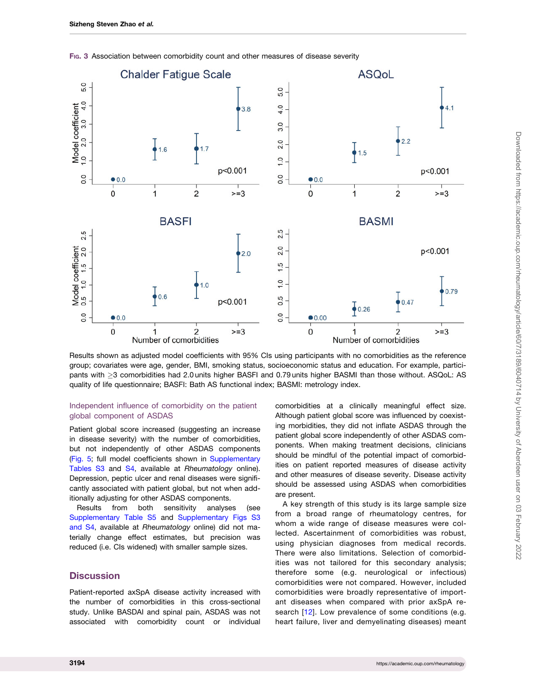

<span id="page-5-0"></span>FIG. 3 Association between comorbidity count and other measures of disease severity

Results shown as adjusted model coefficients with 95% CIs using participants with no comorbidities as the reference group; covariates were age, gender, BMI, smoking status, socioeconomic status and education. For example, participants with 3 comorbidities had 2.0 units higher BASFI and 0.79 units higher BASMI than those without. ASQoL: AS quality of life questionnaire; BASFI: Bath AS functional index; BASMI: metrology index.

#### Independent influence of comorbidity on the patient global component of ASDAS

Patient global score increased (suggesting an increase in disease severity) with the number of comorbidities, but not independently of other ASDAS components ([Fig. 5](#page-7-0); full model coefficients shown in [Supplementary](https://academic.oup.com/rheumatology/article-lookup/doi/10.1093/rheumatology/keaa768#supplementary-data) [Tables S3](https://academic.oup.com/rheumatology/article-lookup/doi/10.1093/rheumatology/keaa768#supplementary-data) and [S4,](https://academic.oup.com/rheumatology/article-lookup/doi/10.1093/rheumatology/keaa768#supplementary-data) available at Rheumatology online). Depression, peptic ulcer and renal diseases were significantly associated with patient global, but not when additionally adjusting for other ASDAS components.

Results from both sensitivity analyses (see [Supplementary Table S5](https://academic.oup.com/rheumatology/article-lookup/doi/10.1093/rheumatology/keaa768#supplementary-data) and [Supplementary Figs S3](https://academic.oup.com/rheumatology/article-lookup/doi/10.1093/rheumatology/keaa768#supplementary-data) [and S4,](https://academic.oup.com/rheumatology/article-lookup/doi/10.1093/rheumatology/keaa768#supplementary-data) available at Rheumatology online) did not materially change effect estimates, but precision was reduced (i.e. CIs widened) with smaller sample sizes.

## **Discussion**

Patient-reported axSpA disease activity increased with the number of comorbidities in this cross-sectional study. Unlike BASDAI and spinal pain, ASDAS was not associated with comorbidity count or individual

comorbidities at a clinically meaningful effect size. Although patient global score was influenced by coexisting morbidities, they did not inflate ASDAS through the patient global score independently of other ASDAS components. When making treatment decisions, clinicians should be mindful of the potential impact of comorbidities on patient reported measures of disease activity and other measures of disease severity. Disease activity should be assessed using ASDAS when comorbidities are present.

A key strength of this study is its large sample size from a broad range of rheumatology centres, for whom a wide range of disease measures were collected. Ascertainment of comorbidities was robust, using physician diagnoses from medical records. There were also limitations. Selection of comorbidities was not tailored for this secondary analysis; therefore some (e.g. neurological or infectious) comorbidities were not compared. However, included comorbidities were broadly representative of important diseases when compared with prior axSpA re-search [[12](#page-8-0)]. Low prevalence of some conditions (e.g. heart failure, liver and demyelinating diseases) meant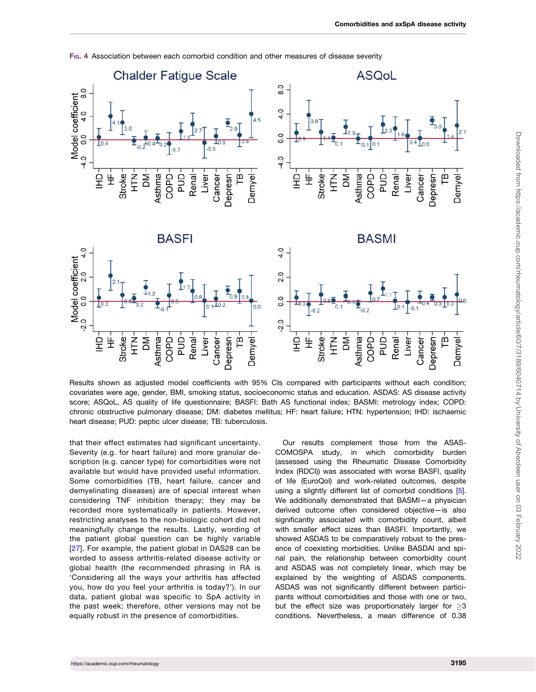<span id="page-6-0"></span>

FIG. 4 Association between each comorbid condition and other measures of disease severity

Results shown as adjusted model coefficients with 95% CIs compared with participants without each condition; covariates were age, gender, BMI, smoking status, socioeconomic status and education. ASDAS: AS disease activity score; ASQoL, AS quality of life questionnaire; BASFI: Bath AS functional index; BASMI: metrology index; COPD: chronic obstructive pulmonary disease; DM: diabetes mellitus; HF: heart failure; HTN: hypertension; IHD: ischaemic heart disease; PUD: peptic ulcer disease; TB: tuberculosis.

that their effect estimates had significant uncertainty. Severity (e.g. for heart failure) and more granular description (e.g. cancer type) for comorbidities were not available but would have provided useful information. Some comorbidities (TB, heart failure, cancer and demyelinating diseases) are of special interest when considering TNF inhibition therapy; they may be recorded more systematically in patients. However, restricting analyses to the non-biologic cohort did not meaningfully change the results. Lastly, wording of the patient global question can be highly variable [[27\]](#page-9-0). For example, the patient global in DAS28 can be worded to assess arthritis-related disease activity or global health (the recommended phrasing in RA is 'Considering all the ways your arthritis has affected you, how do you feel your arthritis is today?'). In our data, patient global was specific to SpA activity in the past week; therefore, other versions may not be equally robust in the presence of comorbidities.

Our results complement those from the ASAS-COMOSPA study, in which comorbidity burden (assessed using the Rheumatic Disease Comorbidity Index (RDCI)) was associated with worse BASFI, quality of life (EuroQol) and work-related outcomes, despite using a slightly different list of comorbid conditions [[5](#page-8-0)]. We additionally demonstrated that BASMI—a physician derived outcome often considered objective—is also significantly associated with comorbidity count, albeit with smaller effect sizes than BASFI. Importantly, we showed ASDAS to be comparatively robust to the presence of coexisting morbidities. Unlike BASDAI and spinal pain, the relationship between comorbidity count and ASDAS was not completely linear, which may be explained by the weighting of ASDAS components. ASDAS was not significantly different between participants without comorbidities and those with one or two, but the effect size was proportionately larger for  $\geq 3$ conditions. Nevertheless, a mean difference of 0.38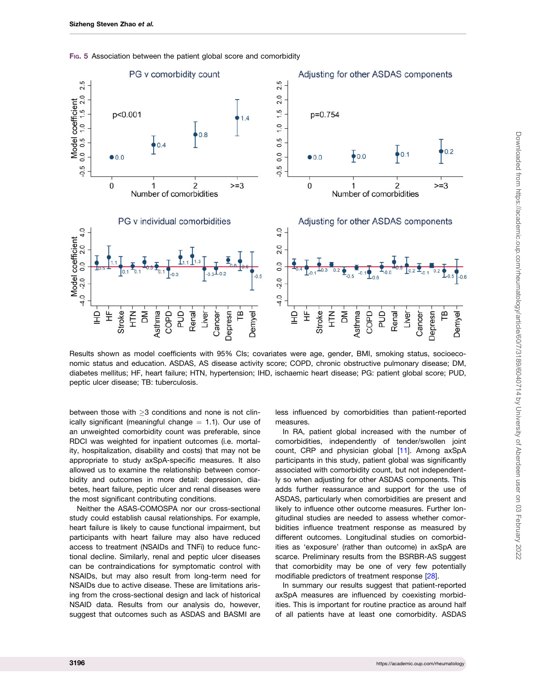<span id="page-7-0"></span>

FIG. 5 Association between the patient global score and comorbidity

Results shown as model coefficients with 95% CIs; covariates were age, gender, BMI, smoking status, socioeconomic status and education. ASDAS, AS disease activity score; COPD, chronic obstructive pulmonary disease; DM, diabetes mellitus; HF, heart failure; HTN, hypertension; IHD, ischaemic heart disease; PG: patient global score; PUD, peptic ulcer disease; TB: tuberculosis.

between those with  $>3$  conditions and none is not clinically significant (meaningful change  $= 1.1$ ). Our use of an unweighted comorbidity count was preferable, since RDCI was weighted for inpatient outcomes (i.e. mortality, hospitalization, disability and costs) that may not be appropriate to study axSpA-specific measures. It also allowed us to examine the relationship between comorbidity and outcomes in more detail: depression, diabetes, heart failure, peptic ulcer and renal diseases were the most significant contributing conditions.

Neither the ASAS-COMOSPA nor our cross-sectional study could establish causal relationships. For example, heart failure is likely to cause functional impairment, but participants with heart failure may also have reduced access to treatment (NSAIDs and TNFi) to reduce functional decline. Similarly, renal and peptic ulcer diseases can be contraindications for symptomatic control with NSAIDs, but may also result from long-term need for NSAIDs due to active disease. These are limitations arising from the cross-sectional design and lack of historical NSAID data. Results from our analysis do, however, suggest that outcomes such as ASDAS and BASMI are

less influenced by comorbidities than patient-reported measures.

In RA, patient global increased with the number of comorbidities, independently of tender/swollen joint count, CRP and physician global [[11](#page-8-0)]. Among axSpA participants in this study, patient global was significantly associated with comorbidity count, but not independently so when adjusting for other ASDAS components. This adds further reassurance and support for the use of ASDAS, particularly when comorbidities are present and likely to influence other outcome measures. Further longitudinal studies are needed to assess whether comorbidities influence treatment response as measured by different outcomes. Longitudinal studies on comorbidities as 'exposure' (rather than outcome) in axSpA are scarce. Preliminary results from the BSRBR-AS suggest that comorbidity may be one of very few potentially modifiable predictors of treatment response [\[28\]](#page-9-0).

In summary our results suggest that patient-reported axSpA measures are influenced by coexisting morbidities. This is important for routine practice as around half of all patients have at least one comorbidity. ASDAS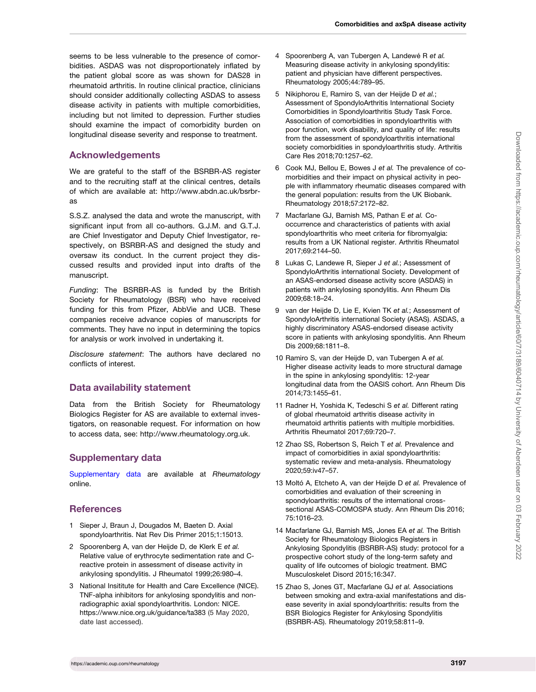<span id="page-8-0"></span>seems to be less vulnerable to the presence of comorbidities. ASDAS was not disproportionately inflated by the patient global score as was shown for DAS28 in rheumatoid arthritis. In routine clinical practice, clinicians should consider additionally collecting ASDAS to assess disease activity in patients with multiple comorbidities, including but not limited to depression. Further studies should examine the impact of comorbidity burden on longitudinal disease severity and response to treatment.

### Acknowledgements

We are grateful to the staff of the BSRBR-AS register and to the recruiting staff at the clinical centres, details of which are available at: [http://www.abdn.ac.uk/bsrbr](http://www.abdn.ac.uk/bsrbr-as)[as](http://www.abdn.ac.uk/bsrbr-as)

S.S.Z. analysed the data and wrote the manuscript, with significant input from all co-authors. G.J.M. and G.T.J. are Chief Investigator and Deputy Chief Investigator, respectively, on BSRBR-AS and designed the study and oversaw its conduct. In the current project they discussed results and provided input into drafts of the manuscript.

Funding: The BSRBR-AS is funded by the British Society for Rheumatology (BSR) who have received funding for this from Pfizer, AbbVie and UCB. These companies receive advance copies of manuscripts for comments. They have no input in determining the topics for analysis or work involved in undertaking it.

Disclosure statement: The authors have declared no conflicts of interest.

### Data availability statement

Data from the British Society for Rheumatology Biologics Register for AS are available to external investigators, on reasonable request. For information on how to access data, see: [http://www.rheumatology.org.uk.](http://www.rheumatology.org.uk)

# Supplementary data

[Supplementary data](https://academic.oup.com/rheumatology/article-lookup/doi/10.1093/rheumatology/keaa768#supplementary-data) are available at Rheumatology online.

### **References**

- [1](#page-0-0) Sieper J, Braun J, Dougados M, Baeten D. Axial spondyloarthritis. Nat Rev Dis Primer 2015;1:15013.
- [2](#page-0-0) Spoorenberg A, van der Heijde D, de Klerk E et al. Relative value of erythrocyte sedimentation rate and Creactive protein in assessment of disease activity in ankylosing spondylitis. J Rheumatol 1999;26:980–4.
- [3](#page-1-0) National Insititute for Health and Care Excellence (NICE). TNF-alpha inhibitors for ankylosing spondylitis and nonradiographic axial spondyloarthritis. London: NICE. [https://www.nice.org.uk/guidance/ta383](https://www.nice.org.uk/guidance/ta383 ) (5 May 2020, date last accessed).
- [4](#page-1-0) Spoorenberg A, van Tubergen A, Landewé R et al. Measuring disease activity in ankylosing spondylitis: patient and physician have different perspectives. Rheumatology 2005;44:789–95.
- [5](#page-1-0) Nikiphorou E, Ramiro S, van der Heijde D et al.; Assessment of SpondyloArthritis International Society Comorbidities in Spondyloarthritis Study Task Force. Association of comorbidities in spondyloarthritis with poor function, work disability, and quality of life: results from the assessment of spondyloarthritis international society comorbidities in spondyloarthritis study. Arthritis Care Res 2018;70:1257–62.
- [6](#page-1-0) Cook MJ, Bellou E, Bowes J et al. The prevalence of comorbidities and their impact on physical activity in people with inflammatory rheumatic diseases compared with the general population: results from the UK Biobank. Rheumatology 2018;57:2172–82.
- [7](#page-1-0) Macfarlane GJ, Barnish MS, Pathan E et al. Cooccurrence and characteristics of patients with axial spondyloarthritis who meet criteria for fibromyalgia: results from a UK National register. Arthritis Rheumatol 2017;69:2144–50.
- [8](#page-1-0) Lukas C, Landewe R, Sieper J et al.; Assessment of SpondyloArthritis international Society. Development of an ASAS-endorsed disease activity score (ASDAS) in patients with ankylosing spondylitis. Ann Rheum Dis 2009;68:18–24.
- [9](#page-1-0) van der Heijde D, Lie E, Kvien TK et al.; Assessment of SpondyloArthritis international Society (ASAS). ASDAS, a highly discriminatory ASAS-endorsed disease activity score in patients with ankylosing spondylitis. Ann Rheum Dis 2009;68:1811–8.
- [10](#page-1-0) Ramiro S, van der Heijde D, van Tubergen A et al. Higher disease activity leads to more structural damage in the spine in ankylosing spondylitis: 12-year longitudinal data from the OASIS cohort. Ann Rheum Dis 2014;73:1455–61.
- [11](#page-1-0) Radner H, Yoshida K, Tedeschi S et al. Different rating of global rheumatoid arthritis disease activity in rheumatoid arthritis patients with multiple morbidities. Arthritis Rheumatol 2017;69:720–7.
- [12](#page-1-0) Zhao SS, Robertson S, Reich T et al. Prevalence and impact of comorbidities in axial spondyloarthritis: systematic review and meta-analysis. Rheumatology 2020;59:iv47–57.
- [13](#page-1-0) Moltó A, Etcheto A, van der Heijde D et al. Prevalence of comorbidities and evaluation of their screening in spondyloarthritis: results of the international crosssectional ASAS-COMOSPA study. Ann Rheum Dis 2016; 75:1016–23.
- [14](#page-1-0) Macfarlane GJ, Barnish MS, Jones EA et al. The British Society for Rheumatology Biologics Registers in Ankylosing Spondylitis (BSRBR-AS) study: protocol for a prospective cohort study of the long-term safety and quality of life outcomes of biologic treatment. BMC Musculoskelet Disord 2015;16:347.
- [15](#page-1-0) Zhao S, Jones GT, Macfarlane GJ et al. Associations between smoking and extra-axial manifestations and disease severity in axial spondyloarthritis: results from the BSR Biologics Register for Ankylosing Spondylitis (BSRBR-AS). Rheumatology 2019;58:811–9.